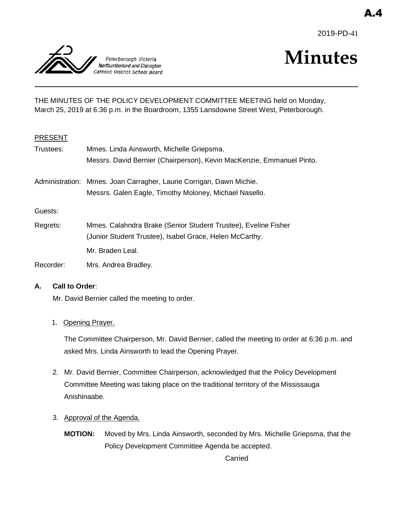



# **Minutes**

THE MINUTES OF THE POLICY DEVELOPMENT COMMITTEE MEETING held on Monday, March 25, 2019 at 6:36 p.m. in the Boardroom, 1355 Lansdowne Street West, Peterborough.

# PRESENT

| Trustees: | Mmes. Linda Ainsworth, Michelle Griepsma.                             |
|-----------|-----------------------------------------------------------------------|
|           | Messrs. David Bernier (Chairperson), Kevin MacKenzie, Emmanuel Pinto. |
|           | Administration: Mmes. Joan Carragher, Laurie Corrigan, Dawn Michie.   |
|           | Messrs. Galen Eagle, Timothy Moloney, Michael Nasello.                |
| Guests:   |                                                                       |
| Regrets:  | Mmes. Calahndra Brake (Senior Student Trustee), Eveline Fisher        |
|           | (Junior Student Trustee), Isabel Grace, Helen McCarthy.               |
|           | Mr. Braden Leal.                                                      |
| Recorder: | Mrs. Andrea Bradley.                                                  |

# **A. Call to Order**:

Mr. David Bernier called the meeting to order.

# 1. Opening Prayer.

The Committee Chairperson, Mr. David Bernier, called the meeting to order at 6:36 p.m. and asked Mrs. Linda Ainsworth to lead the Opening Prayer.

- 2. Mr. David Bernier, Committee Chairperson, acknowledged that the Policy Development Committee Meeting was taking place on the traditional territory of the Mississauga Anishinaabe.
- 3. Approval of the Agenda.
	- **MOTION:** Moved by Mrs. Linda Ainsworth, seconded by Mrs. Michelle Griepsma, that the Policy Development Committee Agenda be accepted.

Carried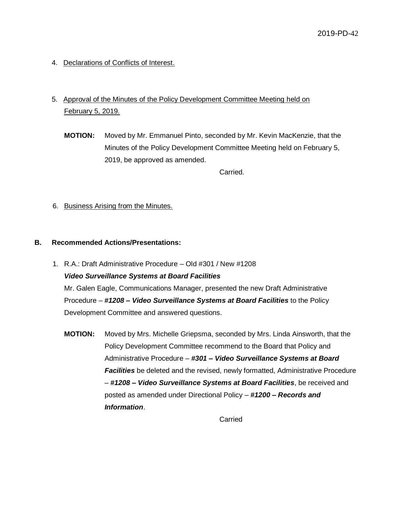4. Declarations of Conflicts of Interest.

# 5. Approval of the Minutes of the Policy Development Committee Meeting held on February 5, 2019.

**MOTION:** Moved by Mr. Emmanuel Pinto, seconded by Mr. Kevin MacKenzie, that the Minutes of the Policy Development Committee Meeting held on February 5, 2019, be approved as amended.

Carried.

6. Business Arising from the Minutes.

# **B. Recommended Actions/Presentations:**

- 1. R.A.: Draft Administrative Procedure Old #301 / New #1208 *Video Surveillance Systems at Board Facilities* Mr. Galen Eagle, Communications Manager, presented the new Draft Administrative Procedure – *#1208 – Video Surveillance Systems at Board Facilities* to the Policy Development Committee and answered questions.
	- **MOTION:** Moved by Mrs. Michelle Griepsma, seconded by Mrs. Linda Ainsworth, that the Policy Development Committee recommend to the Board that Policy and Administrative Procedure – *#301 – Video Surveillance Systems at Board Facilities* be deleted and the revised, newly formatted, Administrative Procedure – *#1208 – Video Surveillance Systems at Board Facilities*, be received and posted as amended under Directional Policy – *#1200 – Records and Information*.

Carried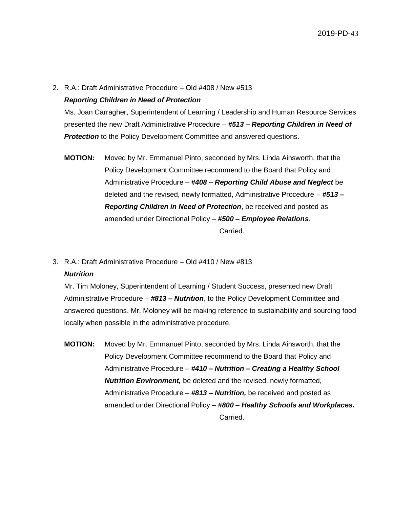2. R.A.: Draft Administrative Procedure – Old #408 / New #513

### *Reporting Children in Need of Protection*

Ms. Joan Carragher, Superintendent of Learning / Leadership and Human Resource Services presented the new Draft Administrative Procedure – *#513 – Reporting Children in Need of*  **Protection** to the Policy Development Committee and answered questions.

- **MOTION:** Moved by Mr. Emmanuel Pinto, seconded by Mrs. Linda Ainsworth, that the Policy Development Committee recommend to the Board that Policy and Administrative Procedure – *#408 – Reporting Child Abuse and Neglect* be deleted and the revised, newly formatted, Administrative Procedure – *#513 – Reporting Children in Need of Protection*, be received and posted as amended under Directional Policy – *#500 – Employee Relations*. Carried.
- 3. R.A.: Draft Administrative Procedure Old #410 / New #813

#### *Nutrition*

Mr. Tim Moloney, Superintendent of Learning / Student Success, presented new Draft Administrative Procedure – *#813 – Nutrition*, to the Policy Development Committee and answered questions. Mr. Moloney will be making reference to sustainability and sourcing food locally when possible in the administrative procedure.

**MOTION:** Moved by Mr. Emmanuel Pinto, seconded by Mrs. Linda Ainsworth, that the Policy Development Committee recommend to the Board that Policy and Administrative Procedure – *#410 – Nutrition – Creating a Healthy School Nutrition Environment,* be deleted and the revised, newly formatted, Administrative Procedure – *#813 – Nutrition,* be received and posted as amended under Directional Policy – *#800 – Healthy Schools and Workplaces.* Carried.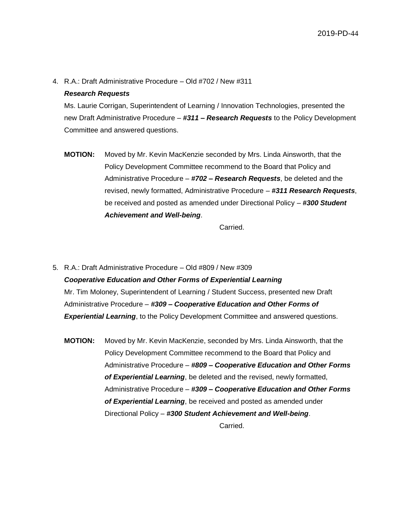4. R.A.: Draft Administrative Procedure – Old #702 / New #311

#### *Research Requests*

Ms. Laurie Corrigan, Superintendent of Learning / Innovation Technologies, presented the new Draft Administrative Procedure – *#311 – Research Requests* to the Policy Development Committee and answered questions.

**MOTION:** Moved by Mr. Kevin MacKenzie seconded by Mrs. Linda Ainsworth, that the Policy Development Committee recommend to the Board that Policy and Administrative Procedure – *#702 – Research Requests*, be deleted and the revised, newly formatted, Administrative Procedure – *#311 Research Requests*, be received and posted as amended under Directional Policy – *#300 Student Achievement and Well-being*.

Carried.

5. R.A.: Draft Administrative Procedure – Old #809 / New #309

*Cooperative Education and Other Forms of Experiential Learning* Mr. Tim Moloney, Superintendent of Learning / Student Success, presented new Draft Administrative Procedure – *#309 – Cooperative Education and Other Forms of Experiential Learning*, to the Policy Development Committee and answered questions.

**MOTION:** Moved by Mr. Kevin MacKenzie, seconded by Mrs. Linda Ainsworth, that the Policy Development Committee recommend to the Board that Policy and Administrative Procedure – *#809 – Cooperative Education and Other Forms of Experiential Learning*, be deleted and the revised, newly formatted, Administrative Procedure – *#309 – Cooperative Education and Other Forms of Experiential Learning*, be received and posted as amended under Directional Policy – *#300 Student Achievement and Well-being*.

Carried.